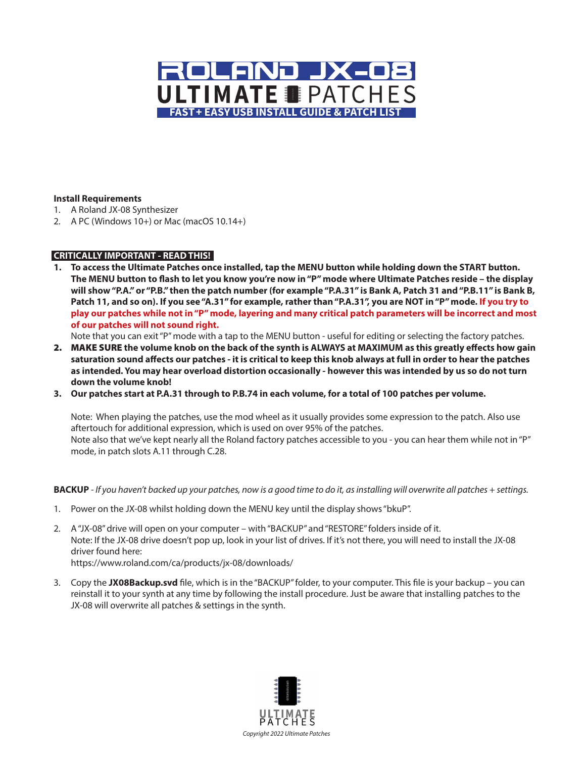

### **Install Requirements**

- 1. A Roland JX-08 Synthesizer
- 2. A PC (Windows 10+) or Mac (macOS 10.14+)

### **CRITICALLY IMPORTANT - READ THIS!**

**1. To access the Ultimate Patches once installed, tap the MENU button while holding down the START button. The MENU button to flash to let you know you're now in "P" mode where Ultimate Patches reside – the display will show "P.A." or "P.B." then the patch number (for example "P.A.31" is Bank A, Patch 31 and "P.B.11" is Bank B, Patch 11, and so on). If you see "A.31" for example, rather than "P.A.31", you are NOT in "P" mode. If you try to play our patches while not in "P" mode, layering and many critical patch parameters will be incorrect and most of our patches will not sound right.** 

Note that you can exit "P" mode with a tap to the MENU button - useful for editing or selecting the factory patches.

- 2. MAKE SURE **the volume knob on the back of the synth is ALWAYS at MAXIMUM as this greatly effects how gain saturation sound affects our patches - it is critical to keep this knob always at full in order to hear the patches as intended. You may hear overload distortion occasionally - however this was intended by us so do not turn down the volume knob!**
- **3. Our patches start at P.A.31 through to P.B.74 in each volume, for a total of 100 patches per volume.**

Note: When playing the patches, use the mod wheel as it usually provides some expression to the patch. Also use aftertouch for additional expression, which is used on over 95% of the patches. Note also that we've kept nearly all the Roland factory patches accessible to you - you can hear them while not in "P" mode, in patch slots A.11 through C.28.

### **BACKUP** *- If you haven't backed up your patches, now is a good time to do it, as installing will overwrite all patches + settings.*

- 1. Power on the JX-08 whilst holding down the MENU key until the display shows "bkuP".
- 2. A "JX-08" drive will open on your computer with "BACKUP" and "RESTORE" folders inside of it. Note: If the JX-08 drive doesn't pop up, look in your list of drives. If it's not there, you will need to install the JX-08 driver found here: https://www.roland.com/ca/products/jx-08/downloads/
- 3. Copy the **JX08Backup.svd** file, which is in the "BACKUP" folder, to your computer. This file is your backup you can reinstall it to your synth at any time by following the install procedure. Just be aware that installing patches to the JX-08 will overwrite all patches & settings in the synth.

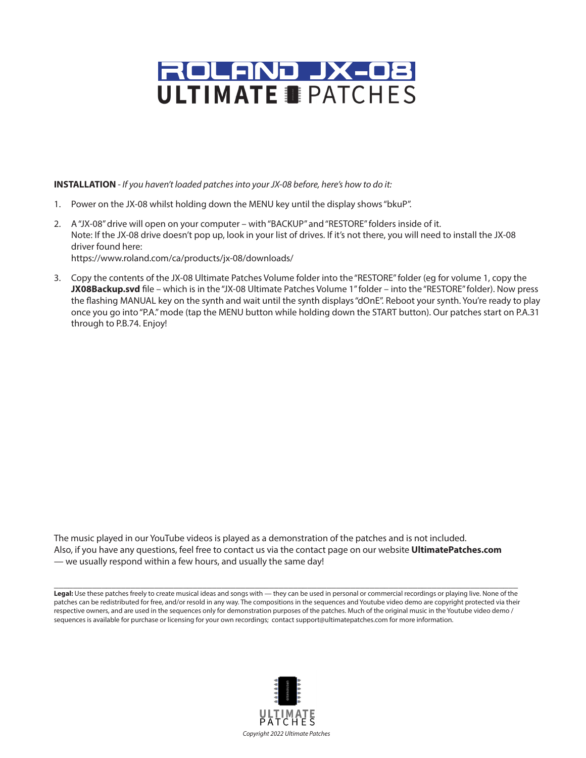

**INSTALLATION** *- If you haven't loaded patches into your JX-08 before, here's how to do it:*

- 1. Power on the JX-08 whilst holding down the MENU key until the display shows "bkuP".
- 2. A "JX-08" drive will open on your computer with "BACKUP" and "RESTORE" folders inside of it. Note: If the JX-08 drive doesn't pop up, look in your list of drives. If it's not there, you will need to install the JX-08 driver found here:

https://www.roland.com/ca/products/jx-08/downloads/

3. Copy the contents of the JX-08 Ultimate Patches Volume folder into the "RESTORE" folder (eg for volume 1, copy the **JX08Backup.svd** file – which is in the "JX-08 Ultimate Patches Volume 1" folder – into the "RESTORE" folder). Now press the flashing MANUAL key on the synth and wait until the synth displays "dOnE". Reboot your synth. You're ready to play once you go into "P.A." mode (tap the MENU button while holding down the START button). Our patches start on P.A.31 through to P.B.74. Enjoy!

The music played in our YouTube videos is played as a demonstration of the patches and is not included. Also, if you have any questions, feel free to contact us via the contact page on our website **UltimatePatches.com** — we usually respond within a few hours, and usually the same day!

**Legal:** Use these patches freely to create musical ideas and songs with — they can be used in personal or commercial recordings or playing live. None of the patches can be redistributed for free, and/or resold in any way. The compositions in the sequences and Youtube video demo are copyright protected via their respective owners, and are used in the sequences only for demonstration purposes of the patches. Much of the original music in the Youtube video demo / sequences is available for purchase or licensing for your own recordings; contact support@ultimatepatches.com for more information.

**\_\_\_\_\_\_\_\_\_\_\_\_\_\_\_\_\_\_\_\_\_\_\_\_\_\_\_\_\_\_\_\_\_\_\_\_\_\_\_\_\_\_\_\_\_\_\_\_\_\_\_\_\_\_\_\_\_\_\_\_\_\_\_\_\_\_\_\_\_\_\_\_\_\_\_\_\_\_\_\_\_\_\_\_\_\_\_\_\_\_\_\_\_\_\_\_\_**

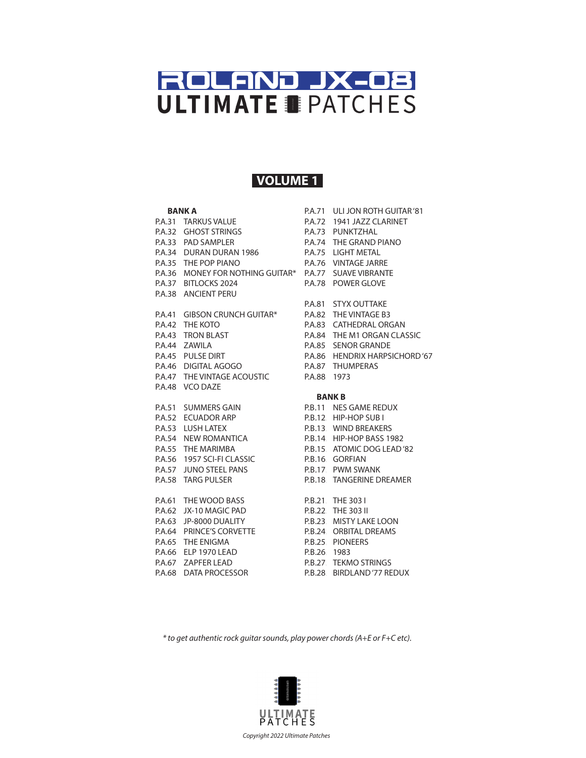## **VOLUME 1**

#### **BANK A**

P.A.31 TARKUS VALUE 32. GHOST STRINGS 33. PAD SAMPLER 34. DURAN DURAN 1986 35. THE POP PIANO 36. MONEY FOR NOTHING GUITAR\* P.A.37 BITLOCKS 2024 P.A.78 POWER GLOVE 38. ANCIENT PERU 41. GIBSON CRUNCH GUITAR\* 42. THE KOTO 43. TRON BLAST 44. ZAWILA 45. PULSE DIRT 46. DIGITAL AGOGO 47. THE VINTAGE ACOUSTIC 48. VCO DAZE 51. SUMMERS GAIN 52. ECUADOR ARP 53. LUSH LATEX 54. NEW ROMANTICA 55. THE MARIMBA 56. 1957 SCI-FI CLASSIC 57. JUNO STEEL PANS 58. TARG PULSER 61. THE WOOD BASS 62. JX-10 MAGIC PAD 63. JP-8000 DUALITY 64. PRINCE'S CORVETTE 65. THE ENIGMA 66. ELP 1970 LEAD P.A.67 ZAPFER LEAD P.A.68 DATA PROCESSOR P.A.32 P.A.33 P.A.34 P.A.35 P.A.36 P.A.38 P.A.41 P.A.42 P.A.43 P.A.44 P.A.45 P.A.46 P.A.47 P.A.48  $P.A.51$ P.A.52 P.A.53 P.A.54 P.A.55 P.A.56 P.A.57 P.A.58  $P.A.61$ P.A.62 P.A.63 P.A.64 P.A.65 P.A.66

P.A.71. ULI JON ROTH GUITAR '81 P.A.72 1941 JAZZ CLARINET 73. PUNKTZHAL 74. THE GRAND PIANO 75. LIGHT METAL 76. VINTAGE JARRE 77. SUAVE VIBRANTE 81. STYX OUTTAKE 82. THE VINTAGE B3 83. CATHEDRAL ORGAN 84. THE M1 ORGAN CLASSIC 85. SENOR GRANDE 86. HENDRIX HARPSICHORD '67 87. THUMPERAS 88. 1973 **P.A.73** P.A.74 P.A.75 P.A.76 P.A.77  $P.A.81$ P.A.82 P.A.83 P.A.84 P.A.85 P.A.86 P.A.87 P.A.88

#### **BANK B**

11. NES GAME REDUX 12. HIP-HOP SUB I 13. WIND BREAKERS 14. HIP-HOP BASS 1982 15. ATOMIC DOG LEAD '82 16. GORFIAN 17. PWM SWANK 18. TANGERINE DREAMER 21. THE 303 I 22. THE 303 II 23. MISTY LAKE LOON 24. ORBITAL DREAMS 25. PIONEERS 26. 1983 27. TEKMO STRINGS 28. BIRDLAND '77 REDUX P.B.11. P.B.12. **P.B.13** P.B.14. P.B.15. P.B.16. P.B.17. P.B.18.  $P.B.21.$ P.B.22.  $P.B.23$  $P.B.24$  $P.B.25$ P.B. 26  $P.B.27$ P.B.28

*\* to get authentic rock guitar sounds, play power chords (A+E or F+C etc).*

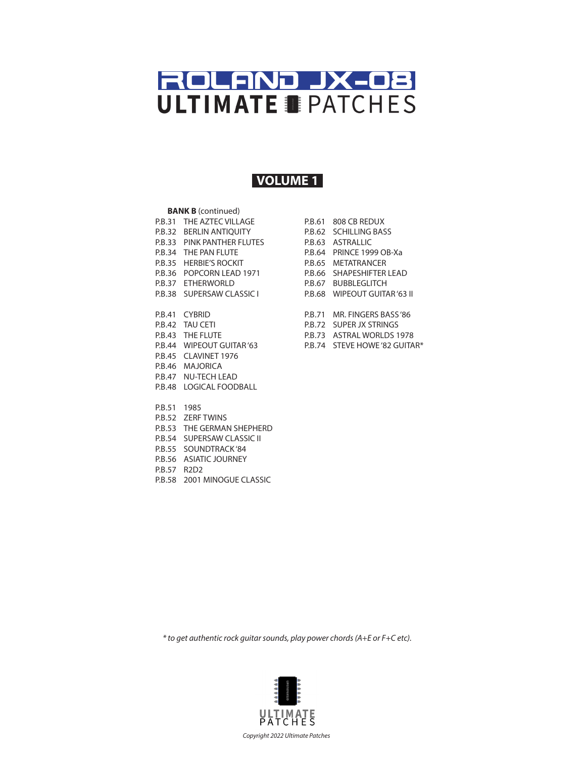## **VOLUME 1**

#### **BANK B** (continued)

P.B.31 THE AZTEC VILLAGE P.B.32 BERLIN ANTIQUITY P.B.33 PINK PANTHER FLUTES P.B.34 THE PAN FLUTE P.B.35 HERBIE'S ROCKIT P.B.36 POPCORN LEAD 1971 P.B.37 ETHERWORLD P.B.38 SUPERSAW CLASSIC I P.B.41 CYBRID P.B.42 TAU CETI P.B.43 THE FLUTE P.B.44 WIPEOUT GUITAR '63 P.B.45 CLAVINET 1976 P.B.46 MAJORICA

- P.B.47 NU-TECH LEAD P.B.48 LOGICAL FOODBALL
- P.B.51 1985
- P.B.52 ZERF TWINS
- P.B.53 THE GERMAN SHEPHERD
- P.B.54 SUPERSAW CLASSIC II
- P.B.55 SOUNDTRACK'84
- P.B.56 ASIATIC JOURNEY
- P.B.57 R2D2
- P.B.58 2001 MINOGUE CLASSIC

| P.B.61 | 808 CB REDUX             |
|--------|--------------------------|
| P.B.62 | SCHILLING BASS           |
| P.B.63 | ASTRALLIC                |
| P.B.64 | PRINCE 1999 OB-Xa        |
| P.B.65 | <b>METATRANCER</b>       |
| P.B.66 | <b>SHAPFSHIFTER LEAD</b> |
| P.B.67 | <b>BUBBLEGLITCH</b>      |
| P.B.68 | WIPFOUT GUITAR '63 II    |
|        |                          |
| P.B.71 | MR. FINGERS BASS'86      |
| P.B.72 | SUPER IX STRINGS         |
| P.B.73 | ASTRAI WORLDS 1978       |
| P.B.74 | STEVE HOWE '82 GUITAR*   |
|        |                          |

*\* to get authentic rock guitar sounds, play power chords (A+E or F+C etc).*

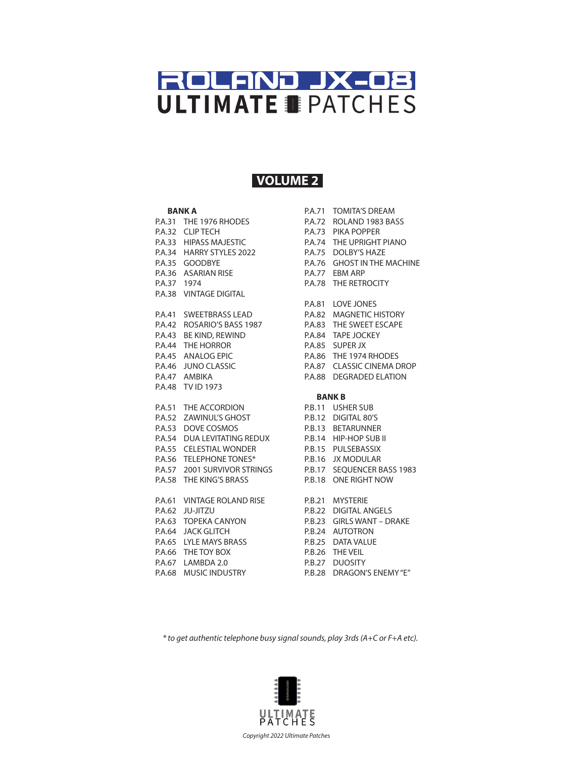## **VOLUME 2**

#### **BANK A**

P.A.31 THE 1976 RHODES P.A.32 CLIP TECH 33. HIPASS MAJESTIC 34. HARRY STYLES 2022 35. GOODBYE P.A.36 ASARIAN RISE P.A.37 1974 P.A.38 VINTAGE DIGITAL 41. SWEETBRASS LEAD 42. ROSARIO'S BASS 1987 43. BE KIND, REWIND 44. THE HORROR 45. ANALOG EPIC 46. JUNO CLASSIC 47. AMBIKA P.A.48 TV ID 1973 51. THE ACCORDION 52. ZAWINUL'S GHOST 53. DOVE COSMOS 54. DUA LEVITATING REDUX 55. CELESTIAL WONDER 56. TELEPHONE TONES\* 57. 2001 SURVIVOR STRINGS 58. THE KING'S BRASS 61. VINTAGE ROLAND RISE 62. JU-JITZU 63. TOPEKA CANYON 64. JACK GLITCH 65. LYLE MAYS BRASS 66. THE TOY BOX P.A.67 LAMBDA 2.0 P.A.68 MUSIC INDUSTRY P.A.33 P.A.34 P.A.35 P.A.41 P.A.42 P.A.43 P.A.44 P.A.45 P.A.46 P.A.47  $P.A.51$ P.A.52 P.A.53 P.A.54 P.A.55 P.A.56 P.A.57 P.A.58  $P.A.61$ P.A.62 P.A.63 P.A.64 P.A.65 P.A.66

P.A.71 TOMITA'S DREAM P.A.72 ROLAND 1983 BASS P.A.73 PIKA POPPER 74. THE UPRIGHT PIANO 75. DOLBY'S HAZE 76. GHOST IN THE MACHINE P.A.77 EBM ARP P.A.78 THE RETROCITY P.A.81 LOVE JONES 82. MAGNETIC HISTORY 83. THE SWEET ESCAPE 84. TAPE JOCKEY 85. SUPER JX 86. THE 1974 RHODES 87. CLASSIC CINEMA DROP 88. DEGRADED ELATION **BANK B** 11. USHER SUB 12. DIGITAL 80'S 13. BETARUNNER 14. HIP-HOP SUB II 15. PULSEBASSIX 16. JX MODULAR 17. SEQUENCER BASS 1983 18. ONE RIGHT NOW 21. MYSTERIE 22. DIGITAL ANGELS 23. GIRLS WANT – DRAKE 24. AUTOTRON 25. DATA VALUE 26. THE VEIL 27. DUOSITY 28. DRAGON'S ENEMY "E" P.A.74 P.A.75 P.A.76 P.A.82 P.A.83 P.A.84 P.A.85 P.A.86 P.A.87 P.A.88 P.B.11. P.B.12. **P.B.13** P.B.14. P.B.15. P.B.16. P.B.17. P.B.18.  $P.B.21.$ P.B.22.  $P.B.23$  $P.B.24$  $P.B.25$ P.B. 26  $P.B.27$ P.B.28

*\* to get authentic telephone busy signal sounds, play 3rds (A+C or F+A etc).*

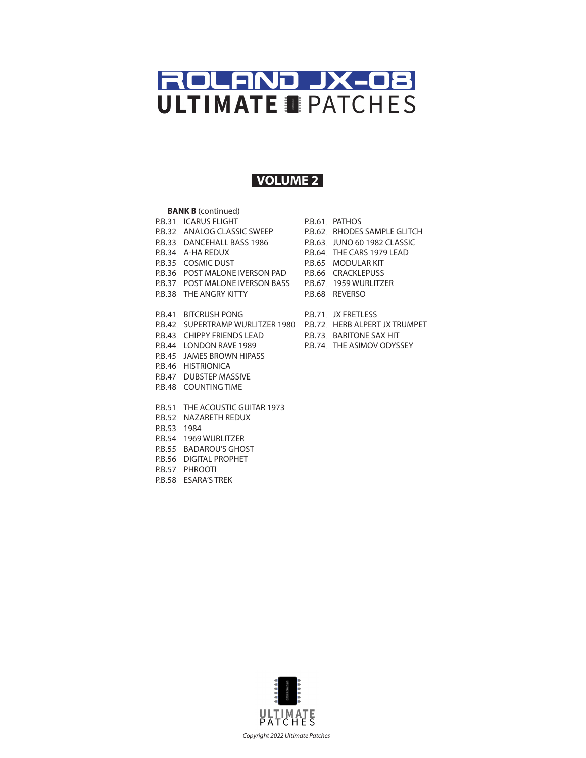## **VOLUME 2**

### **BANK B** (continued)

- P.B.31 ICARUS FLIGHT
- 32. ANALOG CLASSIC SWEEP P.B.32
- 33. DANCEHALL BASS 1986 P.B.33
- 34. A-HA REDUX P.B.34
- P.B.35 COSMIC DUST
- 
- 
- 
- P.B.41 BITCRUSH PONG
- 
- P.B.44 LONDON RAVE 1989
- P.B.45 JAMES BROWN HIPASS
- P.B.46 HISTRIONICA
- P.B.47 DUBSTEP MASSIVE
- P.B.48 COUNTING TIME
- P.B.51 THE ACOUSTIC GUITAR 1973
- P.B.52 NAZARETH REDUX
- P.B.53 1984
- P.B.54 1969 WURLITZER
- P.B.55 BADAROU'S GHOST
- P.B.56 DIGITAL PROPHET
- P.B.57 PHROOTI
- P.B.58 ESARA'S TREK
- P.B.36 POST MALONE IVERSON PAD P.B.66 CRACKLEPUSS P.B.37 POST MALONE IVERSON BASS P.B.67 1959 WURLITZER P.B.38 THE ANGRY KITTY P.B.68 REVERSO P.B.61 PATHOS P.B.62. RHODES SAMPLE GLITCH 63. JUNO 60 1982 CLASSIC 64. THE CARS 1979 LEAD P.B.65 MODULAR KIT P.B.62  $P.B.63$  $P.B.64$ 
	- P.B.71 JX FRETLESS
- P.B.42 SUPERTRAMP WURLITZER 1980 P.B.72 HERB ALPERT JX TRUMPET
- P.B.43 CHIPPY FRIENDS LEAD P.B.73 BARITONE SAX HIT
	- P.B.74 THE ASIMOV ODYSSEY

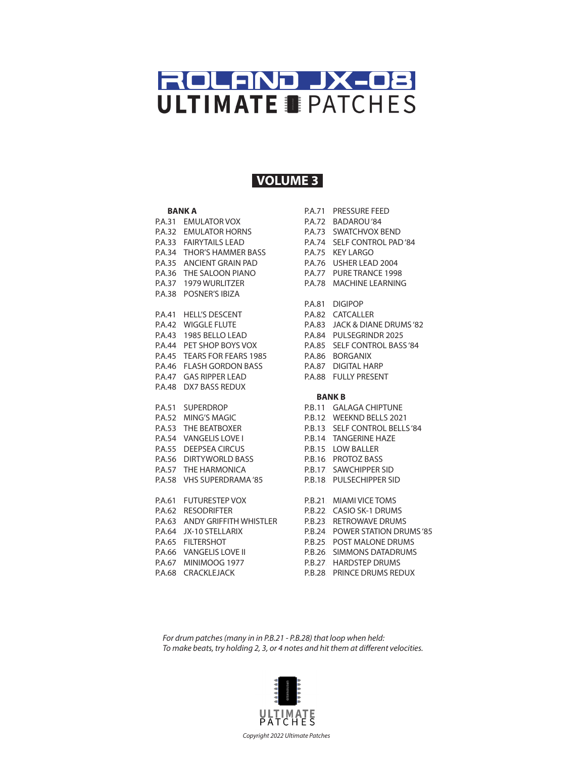### **VOLUME 3**

#### **BANK A**

P.A.31 EMULATOR VOX 32. EMULATOR HORNS 33. FAIRYTAILS LEAD 34. THOR'S HAMMER BASS 35. ANCIENT GRAIN PAD 36. THE SALOON PIANO 37. 1979 WURLITZER P.A.38 POSNER'S IBIZA 41. HELL'S DESCENT 42. WIGGLE FLUTE 43. 1985 BELLO LEAD 44. PET SHOP BOYS VOX 45. TEARS FOR FEARS 1985 46. FLASH GORDON BASS 47. GAS RIPPER LEAD P.A.48 DX7 BASS REDUX 51. SUPERDROP 52. MING'S MAGIC 53. THE BEATBOXER 54. VANGELIS LOVE I 55. DEEPSEA CIRCUS 56. DIRTYWORLD BASS 57. THE HARMONICA 58. VHS SUPERDRAMA '85 61. FUTURESTEP VOX 62. RESODRIFTER 63. ANDY GRIFFITH WHISTLER 64. JX-10 STELLARIX P.A.65 FILTERSHOT P.A.66 VANGELIS LOVE II P.A.67 MINIMOOG 1977 P.A.68 CRACKLEJACK P.A.32 P.A.33 P.A.34 P.A.35 P.A.36 P.A.37 P.A.41 P.A.42 P.A.43 P.A.44 P.A.45 P.A.46 P.A.47  $P.A.51$ P.A.52 P.A.53 P.A.54 P.A.55 P.A.56 P.A.57 P.A.58  $P.A.61$ P.A.62 P.A.63 P.A.64

P.A.71. PRESSURE FEED P.A.72 BADAROU'84 73. SWATCHVOX BEND 74. SELF CONTROL PAD '84 75. KEY LARGO 76. USHER LEAD 2004 77. PURE TRANCE 1998 78. MACHINE LEARNING 81. DIGIPOP 82. CATCALLER 83. JACK & DIANE DRUMS '82 84. PULSEGRINDR 2025 85. SELF CONTROL BASS '84 86. BORGANIX 87. DIGITAL HARP 88. FULLY PRESENT **P.A.73** P.A.74 P.A.75 P.A.76 P.A.77 **P.A.78**  $P.A.81$ P.A.82 P.A.83 P.A.84 P.A.85 P.A.86 P.A.87 P.A.88

#### **BANK B**

11. GALAGA CHIPTUNE 12. WEEKND BELLS 2021 13. SELF CONTROL BELLS '84 14. TANGERINE HAZE 15. LOW BALLER 16. PROTOZ BASS 17. SAWCHIPPER SID 18. PULSECHIPPER SID 21. MIAMI VICE TOMS 22. CASIO SK-1 DRUMS 23. RETROWAVE DRUMS 24. POWER STATION DRUMS '85 P.B.25. POST MALONE DRUMS 26. SIMMONS DATADRUMS 27. HARDSTEP DRUMS P.B.11. P.B.12. **P.B.13** P.B.14. P.B.15. P.B.16. P.B.17. P.B.18.  $P.B.21.$ P.B.22.  $P.B.23$  $P.B.24$ P.B. 26  $P.B.27$ 

28. PRINCE DRUMS REDUX P.B.28

*For drum patches (many in in P.B.21 - P.B.28) that loop when held: To make beats, try holding 2, 3, or 4 notes and hit them at different velocities.*